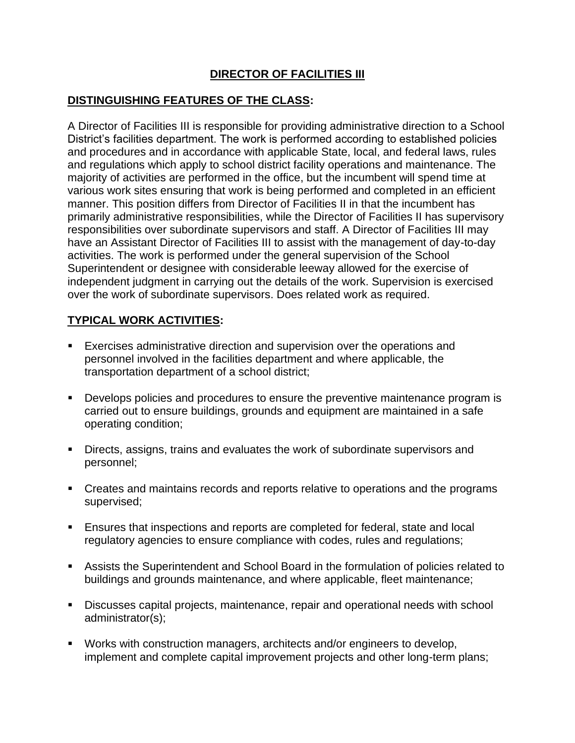## **DIRECTOR OF FACILITIES III**

#### **DISTINGUISHING FEATURES OF THE CLASS:**

A Director of Facilities III is responsible for providing administrative direction to a School District's facilities department. The work is performed according to established policies and procedures and in accordance with applicable State, local, and federal laws, rules and regulations which apply to school district facility operations and maintenance. The majority of activities are performed in the office, but the incumbent will spend time at various work sites ensuring that work is being performed and completed in an efficient manner. This position differs from Director of Facilities II in that the incumbent has primarily administrative responsibilities, while the Director of Facilities II has supervisory responsibilities over subordinate supervisors and staff. A Director of Facilities III may have an Assistant Director of Facilities III to assist with the management of day-to-day activities. The work is performed under the general supervision of the School Superintendent or designee with considerable leeway allowed for the exercise of independent judgment in carrying out the details of the work. Supervision is exercised over the work of subordinate supervisors. Does related work as required.

#### **TYPICAL WORK ACTIVITIES:**

- Exercises administrative direction and supervision over the operations and personnel involved in the facilities department and where applicable, the transportation department of a school district;
- Develops policies and procedures to ensure the preventive maintenance program is carried out to ensure buildings, grounds and equipment are maintained in a safe operating condition;
- Directs, assigns, trains and evaluates the work of subordinate supervisors and personnel;
- Creates and maintains records and reports relative to operations and the programs supervised;
- Ensures that inspections and reports are completed for federal, state and local regulatory agencies to ensure compliance with codes, rules and regulations;
- Assists the Superintendent and School Board in the formulation of policies related to buildings and grounds maintenance, and where applicable, fleet maintenance;
- Discusses capital projects, maintenance, repair and operational needs with school administrator(s);
- Works with construction managers, architects and/or engineers to develop, implement and complete capital improvement projects and other long-term plans;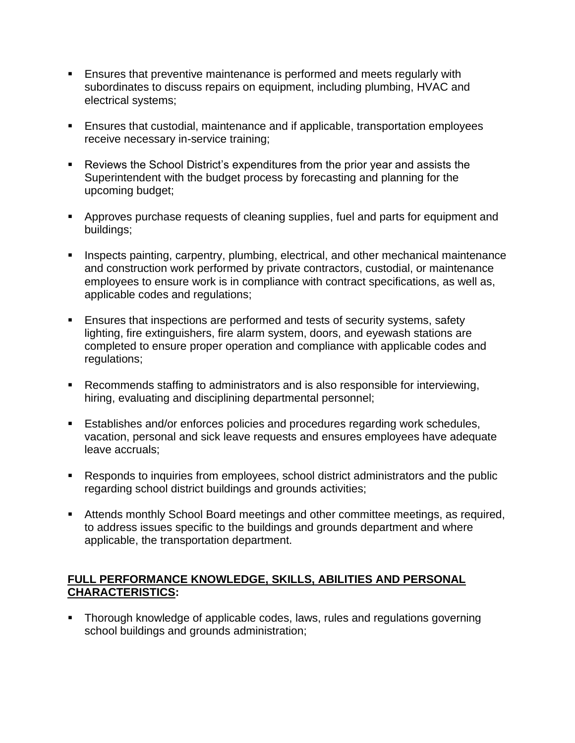- **Ensures that preventive maintenance is performed and meets regularly with** subordinates to discuss repairs on equipment, including plumbing, HVAC and electrical systems;
- Ensures that custodial, maintenance and if applicable, transportation employees receive necessary in-service training;
- Reviews the School District's expenditures from the prior year and assists the Superintendent with the budget process by forecasting and planning for the upcoming budget;
- **EXP** Approves purchase requests of cleaning supplies, fuel and parts for equipment and buildings;
- **EXP** Inspects painting, carpentry, plumbing, electrical, and other mechanical maintenance and construction work performed by private contractors, custodial, or maintenance employees to ensure work is in compliance with contract specifications, as well as, applicable codes and regulations;
- Ensures that inspections are performed and tests of security systems, safety lighting, fire extinguishers, fire alarm system, doors, and eyewash stations are completed to ensure proper operation and compliance with applicable codes and regulations;
- Recommends staffing to administrators and is also responsible for interviewing, hiring, evaluating and disciplining departmental personnel;
- Establishes and/or enforces policies and procedures regarding work schedules, vacation, personal and sick leave requests and ensures employees have adequate leave accruals;
- Responds to inquiries from employees, school district administrators and the public regarding school district buildings and grounds activities;
- Attends monthly School Board meetings and other committee meetings, as required, to address issues specific to the buildings and grounds department and where applicable, the transportation department.

#### **FULL PERFORMANCE KNOWLEDGE, SKILLS, ABILITIES AND PERSONAL CHARACTERISTICS:**

**•** Thorough knowledge of applicable codes, laws, rules and regulations governing school buildings and grounds administration;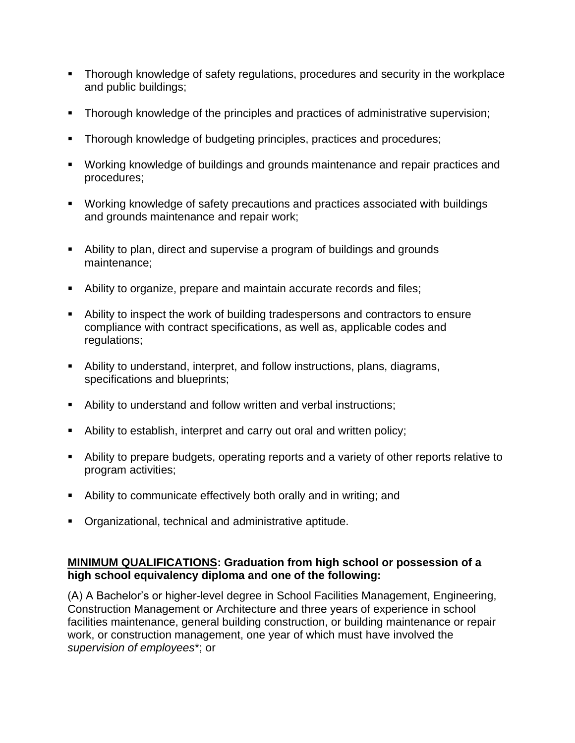- Thorough knowledge of safety regulations, procedures and security in the workplace and public buildings;
- Thorough knowledge of the principles and practices of administrative supervision;
- **Thorough knowledge of budgeting principles, practices and procedures;**
- Working knowledge of buildings and grounds maintenance and repair practices and procedures;
- Working knowledge of safety precautions and practices associated with buildings and grounds maintenance and repair work;
- Ability to plan, direct and supervise a program of buildings and grounds maintenance;
- Ability to organize, prepare and maintain accurate records and files;
- Ability to inspect the work of building tradespersons and contractors to ensure compliance with contract specifications, as well as, applicable codes and regulations;
- Ability to understand, interpret, and follow instructions, plans, diagrams, specifications and blueprints;
- Ability to understand and follow written and verbal instructions;
- Ability to establish, interpret and carry out oral and written policy;
- Ability to prepare budgets, operating reports and a variety of other reports relative to program activities;
- Ability to communicate effectively both orally and in writing; and
- Organizational, technical and administrative aptitude.

### **MINIMUM QUALIFICATIONS: Graduation from high school or possession of a high school equivalency diploma and one of the following:**

(A) A Bachelor's or higher-level degree in School Facilities Management, Engineering, Construction Management or Architecture and three years of experience in school facilities maintenance, general building construction, or building maintenance or repair work, or construction management, one year of which must have involved the *supervision of employees*\*; or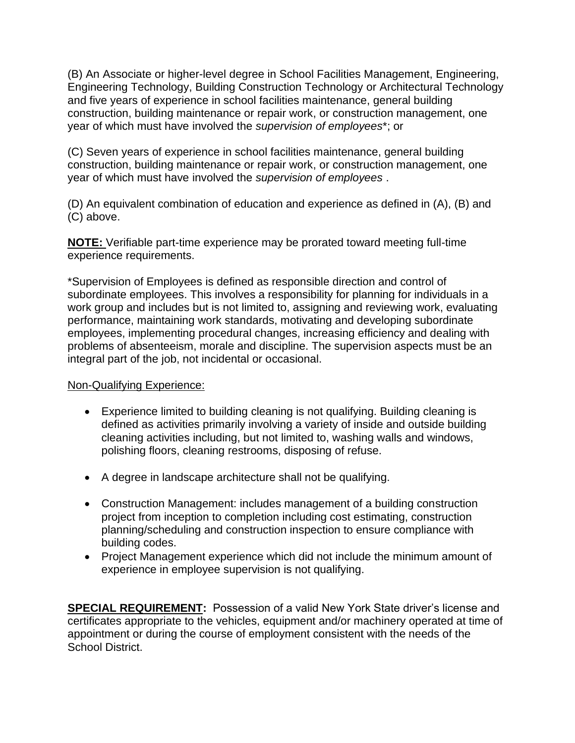(B) An Associate or higher-level degree in School Facilities Management, Engineering, Engineering Technology, Building Construction Technology or Architectural Technology and five years of experience in school facilities maintenance, general building construction, building maintenance or repair work, or construction management, one year of which must have involved the *supervision of employees*\*; or

(C) Seven years of experience in school facilities maintenance, general building construction, building maintenance or repair work, or construction management, one year of which must have involved the *supervision of employees* .

(D) An equivalent combination of education and experience as defined in (A), (B) and (C) above.

**NOTE:** Verifiable part-time experience may be prorated toward meeting full-time experience requirements.

\*Supervision of Employees is defined as responsible direction and control of subordinate employees. This involves a responsibility for planning for individuals in a work group and includes but is not limited to, assigning and reviewing work, evaluating performance, maintaining work standards, motivating and developing subordinate employees, implementing procedural changes, increasing efficiency and dealing with problems of absenteeism, morale and discipline. The supervision aspects must be an integral part of the job, not incidental or occasional.

Non-Qualifying Experience:

- Experience limited to building cleaning is not qualifying. Building cleaning is defined as activities primarily involving a variety of inside and outside building cleaning activities including, but not limited to, washing walls and windows, polishing floors, cleaning restrooms, disposing of refuse.
- A degree in landscape architecture shall not be qualifying.
- Construction Management: includes management of a building construction project from inception to completion including cost estimating, construction planning/scheduling and construction inspection to ensure compliance with building codes.
- Project Management experience which did not include the minimum amount of experience in employee supervision is not qualifying.

**SPECIAL REQUIREMENT:** Possession of a valid New York State driver's license and certificates appropriate to the vehicles, equipment and/or machinery operated at time of appointment or during the course of employment consistent with the needs of the School District.